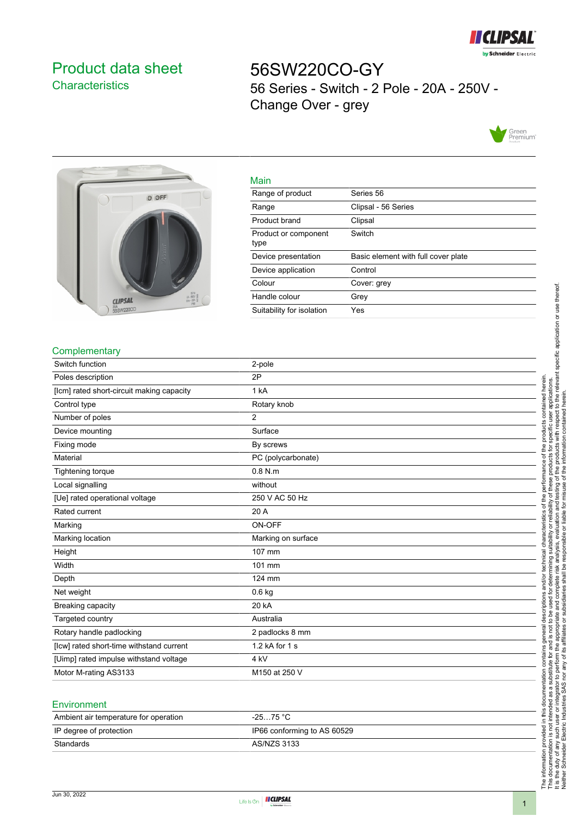

# <span id="page-0-0"></span>Product data sheet **Characteristics**

56SW220CO-GY 56 Series - Switch - 2 Pole - 20A - 250V - Change Over - grey





| Malli                        |                                     |
|------------------------------|-------------------------------------|
| Range of product             | Series 56                           |
| Range                        | Clipsal - 56 Series                 |
| Product brand                | Clipsal                             |
| Product or component<br>type | Switch                              |
| Device presentation          | Basic element with full cover plate |
| Device application           | Control                             |
| Colour                       | Cover: grey                         |
| Handle colour                | Grey                                |
| Suitability for isolation    | Yes                                 |

### **Complementary**

| Switch function                           | 2-pole             |
|-------------------------------------------|--------------------|
| Poles description                         | 2P                 |
| [lcm] rated short-circuit making capacity | 1 kA               |
| Control type                              | Rotary knob        |
| Number of poles                           | 2                  |
| Device mounting                           | Surface            |
| Fixing mode                               | By screws          |
| Material                                  | PC (polycarbonate) |
| Tightening torque                         | $0.8$ N.m.         |
| Local signalling                          | without            |
| [Ue] rated operational voltage            | 250 V AC 50 Hz     |
| Rated current                             | 20 A               |
| Marking                                   | ON-OFF             |
| Marking location                          | Marking on surface |
| Height                                    | 107 mm             |
| Width                                     | 101 mm             |
| Depth                                     | 124 mm             |
| Net weight                                | $0.6$ kg           |
| Breaking capacity                         | 20 kA              |
| Targeted country                          | Australia          |
| Rotary handle padlocking                  | 2 padlocks 8 mm    |
| [Icw] rated short-time withstand current  | 1.2 kA for 1 s     |
| [Uimp] rated impulse withstand voltage    | 4 kV               |
| Motor M-rating AS3133                     | M150 at 250 V      |
|                                           |                    |

Main

#### **Environment**

| Ambient air temperature for operation | -25…75 °C                   |
|---------------------------------------|-----------------------------|
| IP degree of protection               | IP66 conforming to AS 60529 |
| Standards                             | AS/NZS 3133                 |